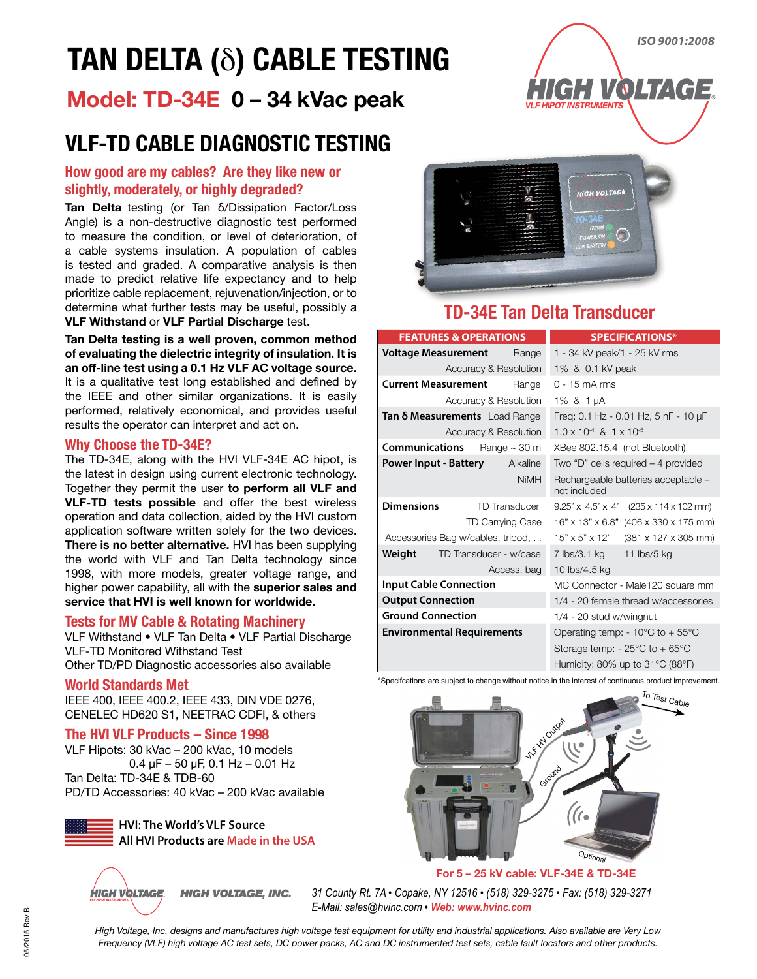# **TAN DELTA (**δ**) CABLE TESTING**

### **Model: TD-34E 0 – 34 kVac peak**

### **VLF-TD CABLE DIAGNOSTIC TESTING**

#### **How good are my cables? Are they like new or slightly, moderately, or highly degraded?**

**Tan Delta** testing (or Tan δ/Dissipation Factor/Loss Angle) is a non-destructive diagnostic test performed to measure the condition, or level of deterioration, of a cable systems insulation. A population of cables is tested and graded. A comparative analysis is then made to predict relative life expectancy and to help prioritize cable replacement, rejuvenation/injection, or to determine what further tests may be useful, possibly a **VLF Withstand** or **VLF Partial Discharge** test.

**Tan Delta testing is a well proven, common method of evaluating the dielectric integrity of insulation. It is an off-line test using a 0.1 Hz VLF AC voltage source.**  It is a qualitative test long established and defined by the IEEE and other similar organizations. It is easily performed, relatively economical, and provides useful results the operator can interpret and act on.

#### **Why Choose the TD-34E?**

The TD-34E, along with the HVI VLF-34E AC hipot, is the latest in design using current electronic technology. Together they permit the user **to perform all VLF and VLF-TD tests possible** and offer the best wireless operation and data collection, aided by the HVI custom application software written solely for the two devices. **There is no better alternative.** HVI has been supplying the world with VLF and Tan Delta technology since 1998, with more models, greater voltage range, and higher power capability, all with the **superior sales and service that HVI is well known for worldwide.**

#### **Tests for MV Cable & Rotating Machinery**

VLF Withstand • VLF Tan Delta • VLF Partial Discharge VLF-TD Monitored Withstand Test Other TD/PD Diagnostic accessories also available

#### **World Standards Met**

IEEE 400, IEEE 400.2, IEEE 433, DIN VDE 0276, CENELEC HD620 S1, NEETRAC CDFI, & others

#### **The HVI VLF Products – Since 1998**

VLF Hipots: 30 kVac – 200 kVac, 10 models 0.4 μF – 50 μF, 0.1 Hz – 0.01 Hz Tan Delta: TD-34E & TDB-60 PD/TD Accessories: 40 kVac – 200 kVac available

> **HVI: The World's VLF Source All HVI Products are Made in the USA**



*HIGH VOLTAGE, INC. 31 County Rt. 7A • Copake, NY 12516 • (518) 329-3275 • Fax: (518) 329-3271 E-Mail: sales@hvinc.com • Web: www.hvinc.com*

**GH VOLTAG** 

**VLF HIPOT INSTRUMENTS** 



### **TD-34E Tan Delta Transducer**

|                                   | <b>FEATURES &amp; OPERATIONS</b>     | <b>SPECIFICATIONS*</b>                                  |
|-----------------------------------|--------------------------------------|---------------------------------------------------------|
| Voltage Measurement               | Range                                | 1 - 34 kV peak/1 - 25 kV rms                            |
|                                   | Accuracy & Resolution                | 1% & 0.1 kV peak                                        |
| Current Measurement               | Range                                | $0 - 15$ mA rms                                         |
|                                   | Accuracy & Resolution                | 1% & $1 \mu A$                                          |
|                                   | Tan <b>δ Measurements</b> Load Range | Freq: 0.1 Hz - 0.01 Hz, 5 nF - 10 µF                    |
|                                   | Accuracy & Resolution                | $1.0 \times 10^{-4}$ & $1 \times 10^{-5}$               |
| Communications                    | Range $\sim$ 30 m                    | XBee 802.15.4 (not Bluetooth)                           |
| Power Input - Battery             | Alkaline                             | Two "D" cells required $-4$ provided                    |
|                                   | <b>NiMH</b>                          | Rechargeable batteries acceptable -<br>not included     |
| <b>Dimensions</b>                 | <b>TD Transducer</b>                 | $9.25" \times 4.5" \times 4"$ (235 x 114 x 102 mm)      |
|                                   | TD Carrying Case                     | 16" x 13" x 6.8" (406 x 330 x 175 mm)                   |
| Accessories Bag w/cables, tripod, |                                      | 15" x 5" x 12" (381 x 127 x 305 mm)                     |
| Weight                            | TD Transducer - w/case               | 7 lbs/3.1 kg<br>11 lbs/5 kg                             |
|                                   | Access. bag                          | 10 lbs/4.5 kg                                           |
| <b>Input Cable Connection</b>     |                                      | MC Connector - Male120 square mm                        |
| <b>Output Connection</b>          |                                      | 1/4 - 20 female thread w/accessories                    |
| <b>Ground Connection</b>          |                                      | $1/4$ - 20 stud w/wingnut                               |
| <b>Environmental Requirements</b> |                                      | Operating temp: - $10^{\circ}$ C to + $55^{\circ}$ C    |
|                                   |                                      | Storage temp: $-25^{\circ}$ C to $+65^{\circ}$ C        |
|                                   |                                      | Humidity: $80\%$ up to $31^{\circ}$ C ( $88^{\circ}$ F) |

\*Specifcations are subject to change without notice in the interest of continuous product improvement.



*ISO 9001:2008*

GH VOLTAGE.

**05/2015 Rev B** 05/2015 Rev B

*High Voltage, Inc. designs and manufactures high voltage test equipment for utility and industrial applications. Also available are Very Low Frequency (VLF) high voltage AC test sets, DC power packs, AC and DC instrumented test sets, cable fault locators and other products.*